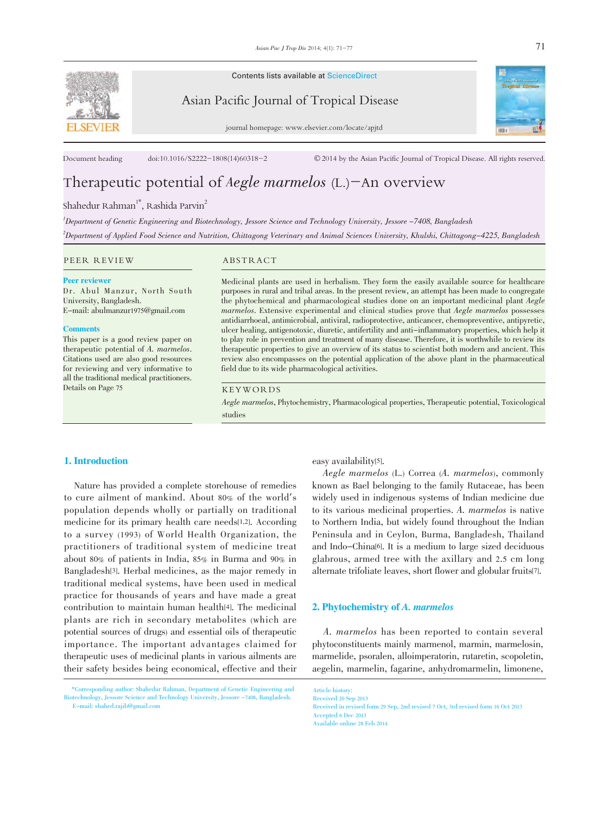

Contents lists available at ScienceDirect

Asian Pacific Journal of Tropical Disease



journal homepage: www.elsevier.com/locate/apjtd

Document heading doi:10.1016/S2222-1808(14)60318-2 © 2014 by the Asian Pacific Journal of Tropical Disease. All rights reserved.

# Therapeutic potential of *Aegle marmelos*  $(L)$ -An overview

# Shahedur Rahman<sup>1\*</sup>, Rashida Parvin<sup>2</sup>

1 Department of Genetic Engineering and Biotechnology, Jessore Science and Technology University, Jessore -7408, Bangladesh 2 Department of Applied Food Science and Nutrition, Chittagong Veterinary and Animal Sciences University, Khulshi, Chittagong-4225, Bangladesh

# PEER REVIEW ABSTRACT

#### Peer reviewer

Dr. Abul Manzur, North South University, Bangladesh. E-mail: abulmanzur1975@gmail.com

#### **Comments**

This paper is a good review paper on therapeutic potential of A. marmelos. Citations used are also good resources for reviewing and very informative to all the traditional medical practitioners. Details on Page 75

Medicinal plants are used in herbalism. They form the easily available source for healthcare purposes in rural and tribal areas. In the present review, an attempt has been made to congregate the phytochemical and pharmacological studies done on an important medicinal plant Aegle marmelos. Extensive experimental and clinical studies prove that Aegle marmelos possesses antidiarrhoeal, antimicrobial, antiviral, radioprotective, anticancer, chemopreventive, antipyretic, ulcer healing, antigenotoxic, diuretic, antifertility and anti-inflammatory properties, which help it to play role in prevention and treatment of many disease. Therefore, it is worthwhile to review its therapeutic properties to give an overview of its status to scientist both modern and ancient. This review also encompasses on the potential application of the above plant in the pharmaceutical field due to its wide pharmacological activities.

# KEYWORDS

Aegle marmelos, Phytochemistry, Pharmacological properties, Therapeutic potential, Toxicological studies

# 1. Introduction

 Nature has provided a complete storehouse of remedies to cure ailment of mankind. About 80% of the world's population depends wholly or partially on traditional medicine for its primary health care needs[1,2]. According to a survey (1993) of World Health Organization, the practitioners of traditional system of medicine treat about 80% of patients in India, 85% in Burma and 90% in Bangladesh[3]. Herbal medicines, as the major remedy in traditional medical systems, have been used in medical practice for thousands of years and have made a great contribution to maintain human health[4]. The medicinal plants are rich in secondary metabolites (which are potential sources of drugs) and essential oils of therapeutic importance. The important advantages claimed for therapeutic uses of medicinal plants in various ailments are their safety besides being economical, effective and their

easy availability[5].

 Aegle marmelos (L.) Correa (A. marmelos), commonly known as Bael belonging to the family Rutaceae, has been widely used in indigenous systems of Indian medicine due to its various medicinal properties. A. marmelos is native to Northern India, but widely found throughout the Indian Peninsula and in Ceylon, Burma, Bangladesh, Thailand and Indo-China[6]. It is a medium to large sized deciduous glabrous, armed tree with the axillary and 2.5 cm long alternate trifoliate leaves, short flower and globular fruits[7].

# 2. Phytochemistry of A. marmelos

 A. marmelos has been reported to contain several phytoconstituents mainly marmenol, marmin, marmelosin, marmelide, psoralen, alloimperatorin, rutaretin, scopoletin, aegelin, marmelin, fagarine, anhydromarmelin, limonene,

Article history: Received 20 Sep 2013 Received in revised form 29 Sep, 2nd revised 7 Oct, 3rd revised form 16 Oct 2013 Accepted 6 Dec 2013 Available online 28 Feb 2014

 <sup>\*</sup>Corresponding author: Shahedur Rahman, Department of Genetic Engineering and Biotechnology, Jessore Science and Technology University, Jessore -7408, Bangladesh. E-mail: shahed.rajib@gmail.com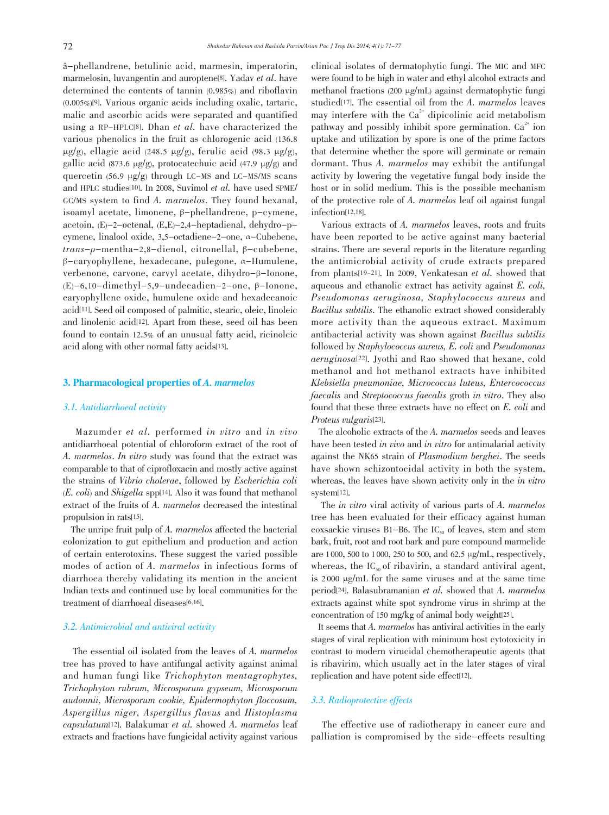â-phellandrene, betulinic acid, marmesin, imperatorin, marmelosin, luvangentin and auroptene[8]. Yadav et al. have determined the contents of tannin (0.985%) and riboflavin (0.005%)[9]. Various organic acids including oxalic, tartaric, malic and ascorbic acids were separated and quantified using a RP-HPLC[8]. Dhan et al. have characterized the various phenolics in the fruit as chlorogenic acid (136.8  $\mu$ g/g), ellagic acid (248.5  $\mu$ g/g), ferulic acid (98.3  $\mu$ g/g), gallic acid (873.6 µg/g), protocatechuic acid (47.9 µg/g) and quercetin  $(56.9 \mu g/g)$  through LC-MS and LC-MS/MS scans and HPLC studies[10]. In 2008, Suvimol et al. have used SPME/ GC/MS system to find A. marmelos. They found hexanal, isoamyl acetate, limonene, β-phellandrene, p-cymene, acetoin, (E)-2-octenal, (E,E)-2,4-heptadienal, dehydro-pcymene, linalool oxide, 3,5-octadiene-2-one, α-Cubebene, trans-p-mentha-2,8-dienol, citronellal, β-cubebene, β-caryophyllene, hexadecane, pulegone, α-Humulene, verbenone, carvone, carvyl acetate, dihydro-β-Ionone, (E)-6,10-dimethyl-5,9-undecadien-2-one, β-Ionone, caryophyllene oxide, humulene oxide and hexadecanoic acid[11]. Seed oil composed of palmitic, stearic, oleic, linoleic and linolenic acid[12]. Apart from these, seed oil has been found to contain 12.5% of an unusual fatty acid, ricinoleic acid along with other normal fatty acids[13].

# 3. Pharmacological properties of A. marmelos

# 3.1. Antidiarrhoeal activity

 Mazumder et al. performed in vitro and in vivo antidiarrhoeal potential of chloroform extract of the root of A. marmelos. In vitro study was found that the extract was comparable to that of ciprofloxacin and mostly active against the strains of Vibrio cholerae, followed by Escherichia coli  $(E. \, coli)$  and *Shigella* spp<sup>[14]</sup>. Also it was found that methanol extract of the fruits of A. marmelos decreased the intestinal propulsion in rats[15].

 The unripe fruit pulp of A. marmelos affected the bacterial colonization to gut epithelium and production and action of certain enterotoxins. These suggest the varied possible modes of action of A. marmelos in infectious forms of diarrhoea thereby validating its mention in the ancient Indian texts and continued use by local communities for the treatment of diarrhoeal diseases[6,16].

# 3.2. Antimicrobial and antiviral activity

 The essential oil isolated from the leaves of A. marmelos tree has proved to have antifungal activity against animal and human fungi like Trichophyton mentagrophytes, Trichophyton rubrum, Microsporum gypseum, Microsporum audounii, Microsporum cookie, Epidermophyton floccosum, Aspergillus niger, Aspergillus flavus and Histoplasma capsulatum[12]. Balakumar et al. showed A. marmelos leaf extracts and fractions have fungicidal activity against various clinical isolates of dermatophytic fungi. The MIC and MFC were found to be high in water and ethyl alcohol extracts and methanol fractions (200 µg/mL) against dermatophytic fungi studied[17]. The essential oil from the A. marmelos leaves may interfere with the  $Ca<sup>2+</sup>$  dipicolinic acid metabolism pathway and possibly inhibit spore germination.  $Ca^{2+}$  ion uptake and utilization by spore is one of the prime factors that determine whether the spore will germinate or remain dormant. Thus A. marmelos may exhibit the antifungal activity by lowering the vegetative fungal body inside the host or in solid medium. This is the possible mechanism of the protective role of A. marmelos leaf oil against fungal infection[12,18].

 Various extracts of A. marmelos leaves, roots and fruits have been reported to be active against many bacterial strains. There are several reports in the literature regarding the antimicrobial activity of crude extracts prepared from plants[19-21]. In 2009, Venkatesan et al. showed that aqueous and ethanolic extract has activity against E. coli, Pseudomonas aeruginosa, Staphylococcus aureus and Bacillus subtilis. The ethanolic extract showed considerably more activity than the aqueous extract. Maximum antibacterial activity was shown against Bacillus subtilis followed by Staphylococcus aureus, E. coli and Pseudomonas aeruginosa[22]. Jyothi and Rao showed that hexane, cold methanol and hot methanol extracts have inhibited Klebsiella pneumoniae, Micrococcus luteus, Entercococcus faecalis and Streptococcus faecalis groth in vitro. They also found that these three extracts have no effect on E. coli and Proteus vulgaris[23].

 The alcoholic extracts of the A. marmelos seeds and leaves have been tested in vivo and in vitro for antimalarial activity against the NK65 strain of Plasmodium berghei. The seeds have shown schizontocidal activity in both the system, whereas, the leaves have shown activity only in the in vitro system[12].

 The in vitro viral activity of various parts of A. marmelos tree has been evaluated for their efficacy against human coxsackie viruses B1-B6. The  $IC_{50}$  of leaves, stem and stem bark, fruit, root and root bark and pure compound marmelide are 1 000, 500 to 1 000, 250 to 500, and 62.5 µg/mL, respectively, whereas, the  $IC_{50}$  of ribavirin, a standard antiviral agent, is 2 000 µg/mL for the same viruses and at the same time period[24]. Balasubramanian et al. showed that A. marmelos extracts against white spot syndrome virus in shrimp at the concentration of 150 mg/kg of animal body weight[25].

 It seems that A. marmelos has antiviral activities in the early stages of viral replication with minimum host cytotoxicity in contrast to modern virucidal chemotherapeutic agents (that is ribavirin), which usually act in the later stages of viral replication and have potent side effect[12].

# 3.3. Radioprotective effects

 The effective use of radiotherapy in cancer cure and palliation is compromised by the side-effects resulting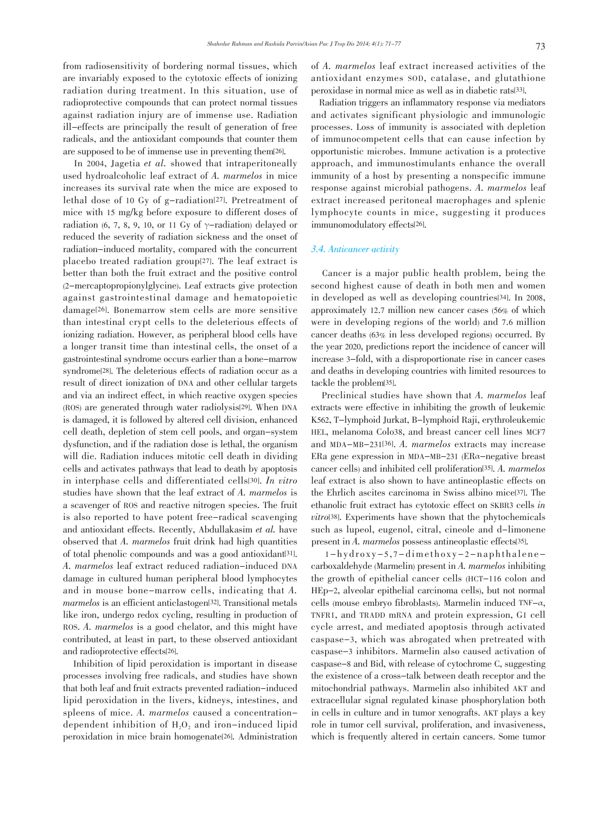from radiosensitivity of bordering normal tissues, which are invariably exposed to the cytotoxic effects of ionizing radiation during treatment. In this situation, use of radioprotective compounds that can protect normal tissues against radiation injury are of immense use. Radiation ill-effects are principally the result of generation of free radicals, and the antioxidant compounds that counter them are supposed to be of immense use in preventing them[26].

 In 2004, Jagetia et al. showed that intraperitoneally used hydroalcoholic leaf extract of A. marmelos in mice increases its survival rate when the mice are exposed to lethal dose of 10 Gy of g-radiation[27]. Pretreatment of mice with 15 mg/kg before exposure to different doses of radiation (6, 7, 8, 9, 10, or 11 Gy of  $\gamma$ -radiation) delayed or reduced the severity of radiation sickness and the onset of radiation-induced mortality, compared with the concurrent placebo treated radiation group[27]. The leaf extract is better than both the fruit extract and the positive control (2-mercaptopropionylglycine). Leaf extracts give protection against gastrointestinal damage and hematopoietic damage[26]. Bonemarrow stem cells are more sensitive than intestinal crypt cells to the deleterious effects of ionizing radiation. However, as peripheral blood cells have a longer transit time than intestinal cells, the onset of a gastrointestinal syndrome occurs earlier than a bone-marrow syndrome[28]. The deleterious effects of radiation occur as a result of direct ionization of DNA and other cellular targets and via an indirect effect, in which reactive oxygen species (ROS) are generated through water radiolysis[29]. When DNA is damaged, it is followed by altered cell division, enhanced cell death, depletion of stem cell pools, and organ-system dysfunction, and if the radiation dose is lethal, the organism will die. Radiation induces mitotic cell death in dividing cells and activates pathways that lead to death by apoptosis in interphase cells and differentiated cells[30]. In vitro studies have shown that the leaf extract of A. marmelos is a scavenger of ROS and reactive nitrogen species. The fruit is also reported to have potent free-radical scavenging and antioxidant effects. Recently, Abdullakasim et al. have observed that A. marmelos fruit drink had high quantities of total phenolic compounds and was a good antioxidant[31]. A. marmelos leaf extract reduced radiation-induced DNA damage in cultured human peripheral blood lymphocytes and in mouse bone-marrow cells, indicating that A. marmelos is an efficient anticlastogen<sup>[32]</sup>. Transitional metals like iron, undergo redox cycling, resulting in production of ROS. A. marmelos is a good chelator, and this might have contributed, at least in part, to these observed antioxidant and radioprotective effects[26].

 Inhibition of lipid peroxidation is important in disease processes involving free radicals, and studies have shown that both leaf and fruit extracts prevented radiation-induced lipid peroxidation in the livers, kidneys, intestines, and spleens of mice. A. marmelos caused a concentrationdependent inhibition of  $H<sub>2</sub>O<sub>2</sub>$  and iron-induced lipid peroxidation in mice brain homogenate[26]. Administration

of A. marmelos leaf extract increased activities of the antioxidant enzymes SOD, catalase, and glutathione peroxidase in normal mice as well as in diabetic rats[33].

 Radiation triggers an inflammatory response via mediators and activates significant physiologic and immunologic processes. Loss of immunity is associated with depletion of immunocompetent cells that can cause infection by opportunistic microbes. Immune activation is a protective approach, and immunostimulants enhance the overall immunity of a host by presenting a nonspecific immune response against microbial pathogens. A. marmelos leaf extract increased peritoneal macrophages and splenic lymphocyte counts in mice, suggesting it produces immunomodulatory effects[26].

# 3.4. Anticancer activity

 Cancer is a major public health problem, being the second highest cause of death in both men and women in developed as well as developing countries[34]. In 2008, approximately 12.7 million new cancer cases (56% of which were in developing regions of the world) and 7.6 million cancer deaths (63% in less developed regions) occurred. By the year 2020, predictions report the incidence of cancer will increase 3-fold, with a disproportionate rise in cancer cases and deaths in developing countries with limited resources to tackle the problem[35].

 Preclinical studies have shown that A. marmelos leaf extracts were effective in inhibiting the growth of leukemic K562, T-lymphoid Jurkat, B-lymphoid Raji, erythroleukemic HEL, melanoma Colo38, and breast cancer cell lines MCF7 and MDA-MB-231[36]. A. marmelos extracts may increase ERa gene expression in MDA-MB-231 (ERα-negative breast cancer cells) and inhibited cell proliferation[35]. A. marmelos leaf extract is also shown to have antineoplastic effects on the Ehrlich ascites carcinoma in Swiss albino mice[37]. The ethanolic fruit extract has cytotoxic effect on SKBR3 cells in vitro[38]. Experiments have shown that the phytochemicals such as lupeol, eugenol, citral, cineole and d-limonene present in A. marmelos possess antineoplastic effects[35].

 $1-hydr$ oxy-5,7-dimethoxy-2-naphthalenecarboxaldehyde (Marmelin) present in A. marmelos inhibiting the growth of epithelial cancer cells (HCT-116 colon and HEp-2, alveolar epithelial carcinoma cells), but not normal cells (mouse embryo fibroblasts). Marmelin induced TNF- $\alpha$ , TNFR1, and TRADD mRNA and protein expression, G1 cell cycle arrest, and mediated apoptosis through activated caspase-3, which was abrogated when pretreated with caspase-3 inhibitors. Marmelin also caused activation of caspase-8 and Bid, with release of cytochrome C, suggesting the existence of a cross-talk between death receptor and the mitochondrial pathways. Marmelin also inhibited AKT and extracellular signal regulated kinase phosphorylation both in cells in culture and in tumor xenografts. AKT plays a key role in tumor cell survival, proliferation, and invasiveness, which is frequently altered in certain cancers. Some tumor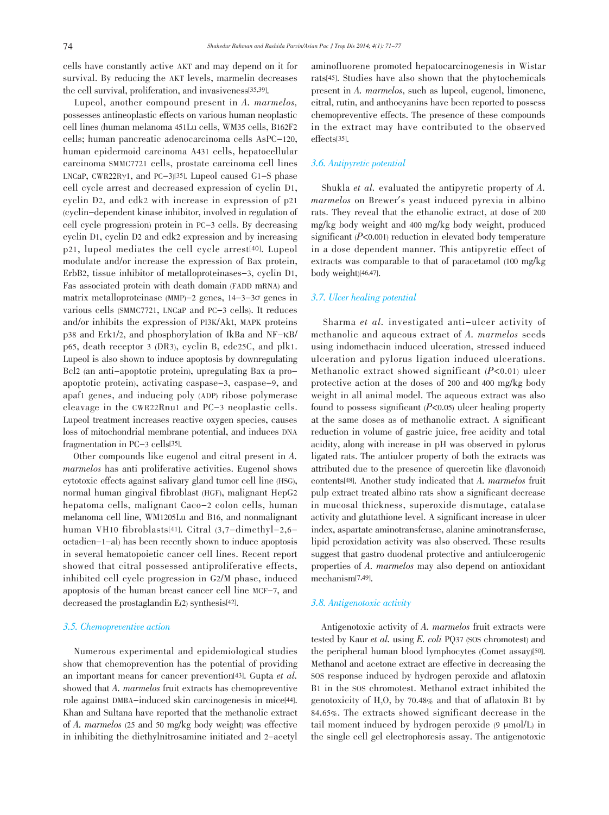cells have constantly active AKT and may depend on it for survival. By reducing the AKT levels, marmelin decreases the cell survival, proliferation, and invasiveness[35,39].

 Lupeol, another compound present in A. marmelos, possesses antineoplastic effects on various human neoplastic cell lines (human melanoma 451Lu cells, WM35 cells, B162F2 cells; human pancreatic adenocarcinoma cells AsPC-120, human epidermoid carcinoma A431 cells, hepatocellular carcinoma SMMC7721 cells, prostate carcinoma cell lines LNCaP, CWR22R $\gamma$ 1, and PC-3)[35]. Lupeol caused G1-S phase cell cycle arrest and decreased expression of cyclin D1, cyclin D2, and cdk2 with increase in expression of p21 (cyclin-dependent kinase inhibitor, involved in regulation of cell cycle progression) protein in PC-3 cells. By decreasing cyclin D1, cyclin D2 and cdk2 expression and by increasing p21, lupeol mediates the cell cycle arrest[40]. Lupeol modulate and/or increase the expression of Bax protein, ErbB2, tissue inhibitor of metalloproteinases-3, cyclin D1, Fas associated protein with death domain (FADD mRNA) and matrix metalloproteinase (MMP)-2 genes, 14-3-3σ genes in various cells (SMMC7721, LNCaP and PC-3 cells). It reduces and/or inhibits the expression of PI3K/Akt, MAPK proteins p38 and Erk1/2, and phosphorylation of IkBa and NF-κB/ p65, death receptor 3 (DR3), cyclin B, cdc25C, and plk1. Lupeol is also shown to induce apoptosis by downregulating Bcl2 (an anti-apoptotic protein), upregulating Bax (a proapoptotic protein), activating caspase-3, caspase-9, and apaf1 genes, and inducing poly (ADP) ribose polymerase cleavage in the CWR22Rnu1 and PC-3 neoplastic cells. Lupeol treatment increases reactive oxygen species, causes loss of mitochondrial membrane potential, and induces DNA fragmentation in PC-3 cells[35].

 Other compounds like eugenol and citral present in A. marmelos has anti proliferative activities. Eugenol shows cytotoxic effects against salivary gland tumor cell line (HSG), normal human gingival fibroblast (HGF), malignant HepG2 hepatoma cells, malignant Caco-2 colon cells, human melanoma cell line, WM1205Lu and B16, and nonmalignant human VH10 fibroblasts[41]. Citral (3,7-dimethyl-2,6 octadien-1-al) has been recently shown to induce apoptosis in several hematopoietic cancer cell lines. Recent report showed that citral possessed antiproliferative effects, inhibited cell cycle progression in G2/M phase, induced apoptosis of the human breast cancer cell line MCF-7, and decreased the prostaglandin E(2) synthesis[42].

### 3.5. Chemopreventive action

 Numerous experimental and epidemiological studies show that chemoprevention has the potential of providing an important means for cancer prevention[43]. Gupta et al. showed that A. marmelos fruit extracts has chemopreventive role against DMBA-induced skin carcinogenesis in mice<sup>[44]</sup>. Khan and Sultana have reported that the methanolic extract of A. marmelos (25 and 50 mg/kg body weight) was effective in inhibiting the diethylnitrosamine initiated and 2-acetyl

aminofluorene promoted hepatocarcinogenesis in Wistar rats[45]. Studies have also shown that the phytochemicals present in A. marmelos, such as lupeol, eugenol, limonene, citral, rutin, and anthocyanins have been reported to possess chemopreventive effects. The presence of these compounds in the extract may have contributed to the observed effects[35].

# 3.6. Antipyretic potential

 Shukla et al. evaluated the antipyretic property of A. marmelos on Brewer's yeast induced pyrexia in albino rats. They reveal that the ethanolic extract, at dose of 200 mg/kg body weight and 400 mg/kg body weight, produced significant  $(P<0.001)$  reduction in elevated body temperature in a dose dependent manner. This antipyretic effect of extracts was comparable to that of paracetamol (100 mg/kg body weight)[46,47].

# 3.7. Ulcer healing potential

 Sharma et al. investigated anti-ulcer activity of methanolic and aqueous extract of A. marmelos seeds using indomethacin induced ulceration, stressed induced ulceration and pylorus ligation induced ulcerations. Methanolic extract showed significant  $(P<0.01)$  ulcer protective action at the doses of 200 and 400 mg/kg body weight in all animal model. The aqueous extract was also found to possess significant  $(P<0.05)$  ulcer healing property at the same doses as of methanolic extract. A significant reduction in volume of gastric juice, free acidity and total acidity, along with increase in pH was observed in pylorus ligated rats. The antiulcer property of both the extracts was attributed due to the presence of quercetin like (flavonoid) contents[48]. Another study indicated that A. marmelos fruit pulp extract treated albino rats show a significant decrease in mucosal thickness, superoxide dismutage, catalase activity and glutathione level. A significant increase in ulcer index, aspartate aminotransferase, alanine aminotransferase, lipid peroxidation activity was also observed. These results suggest that gastro duodenal protective and antiulcerogenic properties of A. marmelos may also depend on antioxidant mechanism[7,49].

# 3.8. Antigenotoxic activity

 Antigenotoxic activity of A. marmelos fruit extracts were tested by Kaur et al. using E. coli PQ37 (SOS chromotest) and the peripheral human blood lymphocytes (Comet assay)[50]. Methanol and acetone extract are effective in decreasing the SOS response induced by hydrogen peroxide and aflatoxin B1 in the SOS chromotest. Methanol extract inhibited the genotoxicity of  $H<sub>2</sub>O<sub>2</sub>$  by 70.48% and that of aflatoxin B1 by 84.65%. The extracts showed significant decrease in the tail moment induced by hydrogen peroxide  $(9 \mu \text{mol/L})$  in the single cell gel electrophoresis assay. The antigenotoxic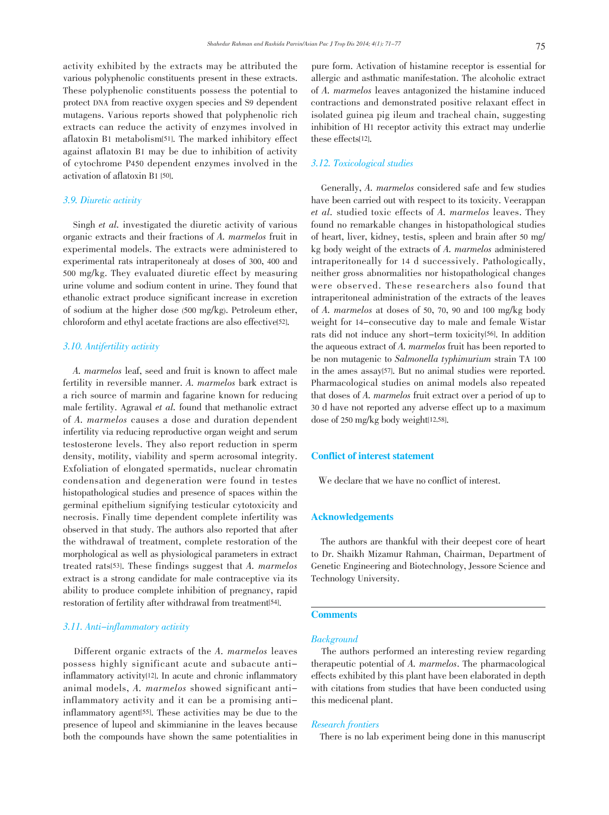activity exhibited by the extracts may be attributed the various polyphenolic constituents present in these extracts. These polyphenolic constituents possess the potential to protect DNA from reactive oxygen species and S9 dependent mutagens. Various reports showed that polyphenolic rich extracts can reduce the activity of enzymes involved in aflatoxin B1 metabolism[51]. The marked inhibitory effect against aflatoxin B1 may be due to inhibition of activity of cytochrome P450 dependent enzymes involved in the activation of aflatoxin B1 [50].

# 3.9. Diuretic activity

 Singh et al. investigated the diuretic activity of various organic extracts and their fractions of A. marmelos fruit in experimental models. The extracts were administered to experimental rats intraperitonealy at doses of 300, 400 and 500 mg/kg. They evaluated diuretic effect by measuring urine volume and sodium content in urine. They found that ethanolic extract produce significant increase in excretion of sodium at the higher dose (500 mg/kg). Petroleum ether, chloroform and ethyl acetate fractions are also effective[52].

# 3.10. Antifertility activity

 A. marmelos leaf, seed and fruit is known to affect male fertility in reversible manner. A. marmelos bark extract is a rich source of marmin and fagarine known for reducing male fertility. Agrawal et al. found that methanolic extract of A. marmelos causes a dose and duration dependent infertility via reducing reproductive organ weight and serum testosterone levels. They also report reduction in sperm density, motility, viability and sperm acrosomal integrity. Exfoliation of elongated spermatids, nuclear chromatin condensation and degeneration were found in testes histopathological studies and presence of spaces within the germinal epithelium signifying testicular cytotoxicity and necrosis. Finally time dependent complete infertility was observed in that study. The authors also reported that after the withdrawal of treatment, complete restoration of the morphological as well as physiological parameters in extract treated rats[53]. These findings suggest that A. marmelos extract is a strong candidate for male contraceptive via its ability to produce complete inhibition of pregnancy, rapid restoration of fertility after withdrawal from treatment<sup>[54]</sup>.

# 3.11. Anti-inflammatory activity

 Different organic extracts of the A. marmelos leaves possess highly significant acute and subacute antiinflammatory activity[12]. In acute and chronic inflammatory animal models, A. marmelos showed significant antiinflammatory activity and it can be a promising antiinflammatory agent[55]. These activities may be due to the presence of lupeol and skimmianine in the leaves because both the compounds have shown the same potentialities in pure form. Activation of histamine receptor is essential for allergic and asthmatic manifestation. The alcoholic extract of A. marmelos leaves antagonized the histamine induced contractions and demonstrated positive relaxant effect in isolated guinea pig ileum and tracheal chain, suggesting inhibition of H1 receptor activity this extract may underlie these effects[12].

# 3.12. Toxicological studies

 Generally, A. marmelos considered safe and few studies have been carried out with respect to its toxicity. Veerappan et al. studied toxic effects of A. marmelos leaves. They found no remarkable changes in histopathological studies of heart, liver, kidney, testis, spleen and brain after 50 mg/ kg body weight of the extracts of A. marmelos administered intraperitoneally for 14 d successively. Pathologically, neither gross abnormalities nor histopathological changes were observed. These researchers also found that intraperitoneal administration of the extracts of the leaves of A. marmelos at doses of 50, 70, 90 and 100 mg/kg body weight for 14-consecutive day to male and female Wistar rats did not induce any short-term toxicity[56]. In addition the aqueous extract of A. marmelos fruit has been reported to be non mutagenic to Salmonella typhimurium strain TA <sup>100</sup> in the ames assay[57]. But no animal studies were reported. Pharmacological studies on animal models also repeated that doses of A. marmelos fruit extract over a period of up to 30 d have not reported any adverse effect up to a maximum dose of 250 mg/kg body weight[12,58].

# Conflict of interest statement

We declare that we have no conflict of interest.

# Acknowledgements

 The authors are thankful with their deepest core of heart to Dr. Shaikh Mizamur Rahman, Chairman, Department of Genetic Engineering and Biotechnology, Jessore Science and Technology University.

# **Comments**

# **Background**

 The authors performed an interesting review regarding therapeutic potential of A. marmelos. The pharmacological effects exhibited by this plant have been elaborated in depth with citations from studies that have been conducted using this medicenal plant.

# Research frontiers

There is no lab experiment being done in this manuscript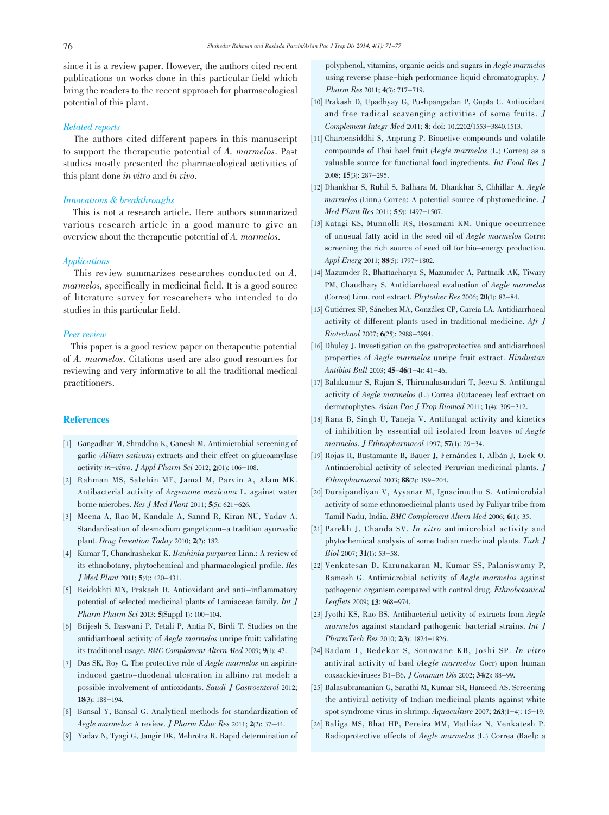since it is a review paper. However, the authors cited recent publications on works done in this particular field which bring the readers to the recent approach for pharmacological potential of this plant.

# Related reports

 The authors cited different papers in this manuscript to support the therapeutic potential of A. marmelos. Past studies mostly presented the pharmacological activities of this plant done in vitro and in vivo.

# Innovations & breakthroughs

 This is not a research article. Here authors summarized various research article in a good manure to give an overview about the therapeutic potential of A. marmelos.

# Applications

 This review summarizes researches conducted on A. marmelos, specifically in medicinal field. It is a good source of literature survey for researchers who intended to do studies in this particular field.

# Peer review

 This paper is a good review paper on therapeutic potential of A. marmelos. Citations used are also good resources for reviewing and very informative to all the traditional medical practitioners.

# **References**

- [1] Gangadhar M, Shraddha K, Ganesh M. Antimicrobial screening of garlic (Allium sativum) extracts and their effect on glucoamylase activity in-vitro. J Appl Pharm Sci 2012; 2(01): 106-108.
- [2] Rahman MS, Salehin MF, Jamal M, Parvin A, Alam MK. Antibacterial activity of Argemone mexicana L. against water borne microbes. Res J Med Plant 2011; 5(5): 621-626.
- [3] Meena A, Rao M, Kandale A, Sannd R, Kiran NU, Yadav A. Standardisation of desmodium gangeticum-a tradition ayurvedic plant. Drug Invention Today 2010; 2(2): 182.
- [4] Kumar T, Chandrashekar K. Bauhinia purpurea Linn.: A review of its ethnobotany, phytochemical and pharmacological profile. Res J Med Plant 2011; 5(4): 420-431.
- [5] Beidokhti MN, Prakash D. Antioxidant and anti-inflammatory potential of selected medicinal plants of Lamiaceae family. Int J Pharm Pharm Sci 2013; 5(Suppl 1): 100-104.
- [6] Brijesh S, Daswani P, Tetali P, Antia N, Birdi T. Studies on the antidiarrhoeal activity of Aegle marmelos unripe fruit: validating its traditional usage. BMC Complement Altern Med 2009; 9(1): 47.
- [7] Das SK, Roy C. The protective role of *Aegle marmelos* on aspirininduced gastro-duodenal ulceration in albino rat model: a possible involvement of antioxidants. Saudi J Gastroenterol 2012; 18(3): 188-194.
- [8] Bansal Y, Bansal G. Analytical methods for standardization of Aegle marmelos: A review. J Pharm Educ Res 2011; 2(2): 37-44.
- [9] Yadav N, Tyagi G, Jangir DK, Mehrotra R. Rapid determination of

polyphenol, vitamins, organic acids and sugars in Aegle marmelos using reverse phase-high performance liquid chromatography. J Pharm Res 2011; 4(3): 717-719.

- [10] Prakash D, Upadhyay G, Pushpangadan P, Gupta C. Antioxidant and free radical scavenging activities of some fruits. J Complement Integr Med 2011; 8: doi: 10.2202/1553-3840.1513.
- [11] Charoensiddhi S, Anprung P. Bioactive compounds and volatile compounds of Thai bael fruit (Aegle marmelos (L.) Correa) as a valuable source for functional food ingredients. Int Food Res J 2008; 15(3): 287-295.
- [12] Dhankhar S, Ruhil S, Balhara M, Dhankhar S, Chhillar A. Aegle marmelos (Linn.) Correa: A potential source of phytomedicine. J Med Plant Res 2011; 5(9): 1497-1507.
- [13] Katagi KS, Munnolli RS, Hosamani KM. Unique occurrence of unusual fatty acid in the seed oil of Aegle marmelos Corre: screening the rich source of seed oil for bio-energy production. Appl Energ 2011; 88(5): 1797-1802.
- [14] Mazumder R, Bhattacharya S, Mazumder A, Pattnaik AK, Tiwary PM, Chaudhary S. Antidiarrhoeal evaluation of Aegle marmelos (Correa) Linn. root extract. Phytother Res 2006; 20(1): 82-84.
- [15] Gutiérrez SP, Sánchez MA, González CP, García LA. Antidiarrhoeal activity of different plants used in traditional medicine. Afr J Biotechnol 2007; 6(25): 2988-2994.
- [16] Dhuley J. Investigation on the gastroprotective and antidiarrhoeal properties of Aegle marmelos unripe fruit extract. Hindustan Antibiot Bull 2003; 45-46(1-4): 41-46.
- [17] Balakumar S, Rajan S, Thirunalasundari T, Jeeva S. Antifungal activity of Aegle marmelos (L.) Correa (Rutaceae) leaf extract on dermatophytes. Asian Pac J Trop Biomed 2011; 1(4): 309-312.
- [18] Rana B, Singh U, Taneja V. Antifungal activity and kinetics of inhibition by essential oil isolated from leaves of Aegle marmelos. J Ethnopharmacol 1997; 57(1): 29-34.
- [19] Rojas R, Bustamante B, Bauer J, Fernández I, Albán J, Lock O. Antimicrobial activity of selected Peruvian medicinal plants. J Ethnopharmacol 2003; 88(2): 199-204.
- [20] Duraipandiyan V, Ayyanar M, Ignacimuthu S. Antimicrobial activity of some ethnomedicinal plants used by Paliyar tribe from Tamil Nadu, India. BMC Complement Altern Med 2006; 6(1): 35.
- [21] Parekh J, Chanda SV. In vitro antimicrobial activity and phytochemical analysis of some Indian medicinal plants. Turk J Biol 2007; 31(1): 53-58.
- [22] Venkatesan D, Karunakaran M, Kumar SS, Palaniswamy P, Ramesh G. Antimicrobial activity of Aegle marmelos against pathogenic organism compared with control drug. Ethnobotanical Leaflets 2009; 13: 968-974.
- [23] Jyothi KS, Rao BS. Antibacterial activity of extracts from Aegle marmelos against standard pathogenic bacterial strains. Int J PharmTech Res 2010; 2(3): 1824-1826.
- [24] Badam L, Bedekar S, Sonawane KB, Joshi SP. In vitro antiviral activity of bael (Aegle marmelos Corr) upon human coxsackieviruses B1-B6. J Commun Dis 2002; 34(2): 88-99.
- [25] Balasubramanian G, Sarathi M, Kumar SR, Hameed AS. Screening the antiviral activity of Indian medicinal plants against white spot syndrome virus in shrimp. Aquaculture 2007; 263(1-4): 15-19.
- [26] Baliga MS, Bhat HP, Pereira MM, Mathias N, Venkatesh P. Radioprotective effects of Aegle marmelos (L.) Correa (Bael): a